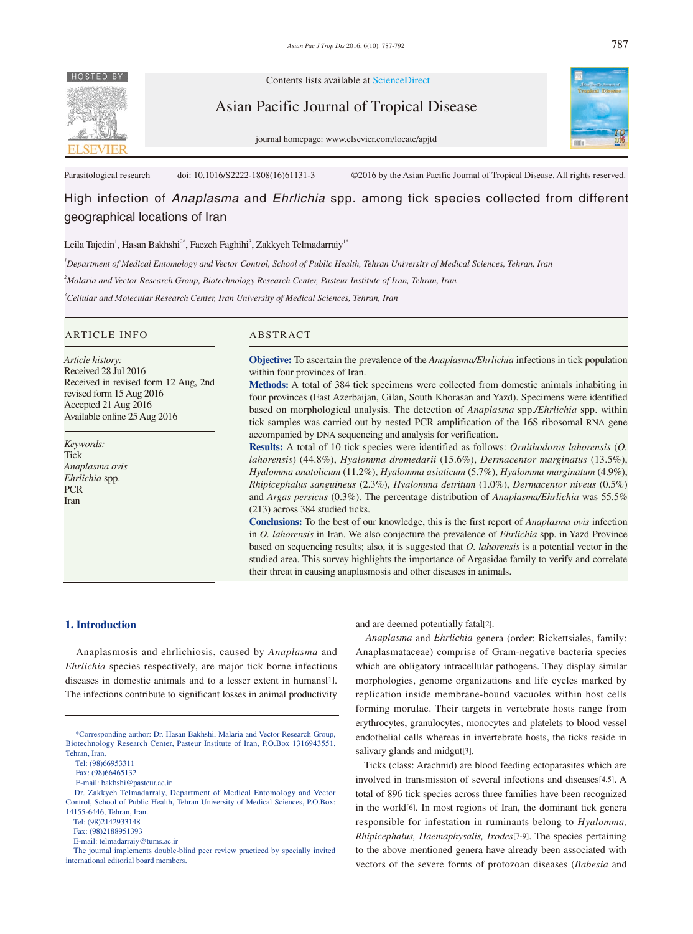

Contents lists available at ScienceDirect

Asian Pacific Journal of Tropical Disease



journal homepage: www.elsevier.com/locate/apjtd

Parasitological research doi: 10.1016/S2222-1808(16)61131-3 ©2016 by the Asian Pacific Journal of Tropical Disease. All rights reserved.

High infection of *Anaplasma* and *Ehrlichia* spp. among tick species collected from different geographical locations of Iran

# Leila Tajedin<sup>1</sup>, Hasan Bakhshi<sup>2\*</sup>, Faezeh Faghihi<sup>3</sup>, Zakkyeh Telmadarraiy<sup>1\*</sup>

*1 Department of Medical Entomology and Vector Control, School of Public Health, Tehran University of Medical Sciences, Tehran, Iran*

*2 Malaria and Vector Research Group, Biotechnology Research Center, Pasteur Institute of Iran, Tehran, Iran*

*3 Cellular and Molecular Research Center, Iran University of Medical Sciences, Tehran, Iran*

## ARTICLE INFO ABSTRACT

*Article history:* Received 28 Jul 2016 Received in revised form 12 Aug, 2nd revised form 15 Aug 2016 Accepted 21 Aug 2016 Available online 25 Aug 2016

*Keywords:* Tick *Anaplasma ovis Ehrlichia* spp. **PCR** Iran

**Objective:** To ascertain the prevalence of the *Anaplasma/Ehrlichia* infections in tick population within four provinces of Iran.

**Methods:** A total of 384 tick specimens were collected from domestic animals inhabiting in four provinces (East Azerbaijan, Gilan, South Khorasan and Yazd). Specimens were identified based on morphological analysis. The detection of *Anaplasma* spp.*/Ehrlichia* spp. within tick samples was carried out by nested PCR amplification of the 16S ribosomal RNA gene accompanied by DNA sequencing and analysis for verification.

**Results:** A total of 10 tick species were identified as follows: *Ornithodoros lahorensis* (*O. lahorensis*) (44.8%), *Hyalomma dromedarii* (15.6%), *Dermacentor marginatus* (13.5%), *Hyalomma anatolicum* (11.2%), *Hyalomma asiaticum* (5.7%), *Hyalomma marginatum* (4.9%), *Rhipicephalus sanguineus* (2.3%), *Hyalomma detritum* (1.0%), *Dermacentor niveus* (0.5%) and *Argas persicus* (0.3%). The percentage distribution of *Anaplasma/Ehrlichia* was 55.5% (213) across 384 studied ticks.

**Conclusions:** To the best of our knowledge, this is the first report of *Anaplasma ovis* infection in *O. lahorensis* in Iran. We also conjecture the prevalence of *Ehrlichia* spp. in Yazd Province based on sequencing results; also, it is suggested that *O. lahorensis* is a potential vector in the studied area. This survey highlights the importance of Argasidae family to verify and correlate their threat in causing anaplasmosis and other diseases in animals.

# **1. Introduction**

 Anaplasmosis and ehrlichiosis, caused by *Anaplasma* and *Ehrlichia* species respectively, are major tick borne infectious diseases in domestic animals and to a lesser extent in humans[1]. The infections contribute to significant losses in animal productivity

and are deemed potentially fatal[2].

 *Anaplasma* and *Ehrlichia* genera (order: Rickettsiales, family: Anaplasmataceae) comprise of Gram-negative bacteria species which are obligatory intracellular pathogens. They display similar morphologies, genome organizations and life cycles marked by replication inside membrane-bound vacuoles within host cells forming morulae. Their targets in vertebrate hosts range from erythrocytes, granulocytes, monocytes and platelets to blood vessel endothelial cells whereas in invertebrate hosts, the ticks reside in salivary glands and midgut[3].

 Ticks (class: Arachnid) are blood feeding ectoparasites which are involved in transmission of several infections and diseases[4,5]. A total of 896 tick species across three families have been recognized in the world[6]. In most regions of Iran, the dominant tick genera responsible for infestation in ruminants belong to *Hyalomma, Rhipicephalus, Haemaphysalis, Ixodes*[7-9]. The species pertaining to the above mentioned genera have already been associated with vectors of the severe forms of protozoan diseases (*Babesia* and

 <sup>\*</sup>Corresponding author: Dr. Hasan Bakhshi, Malaria and Vector Research Group, Biotechnology Research Center, Pasteur Institute of Iran, P.O.Box 1316943551, Tehran, Iran.

Tel: (98)66953311

Fax: (98)66465132

E-mail: bakhshi@pasteur.ac.ir

Dr. Zakkyeh Telmadarraiy, Department of Medical Entomology and Vector Control, School of Public Health, Tehran University of Medical Sciences, P.O.Box: 14155-6446, Tehran, Iran.

Tel: (98)2142933148

Fax: (98)2188951393

E-mail: telmadarraiy@tums.ac.ir

The journal implements double-blind peer review practiced by specially invited international editorial board members.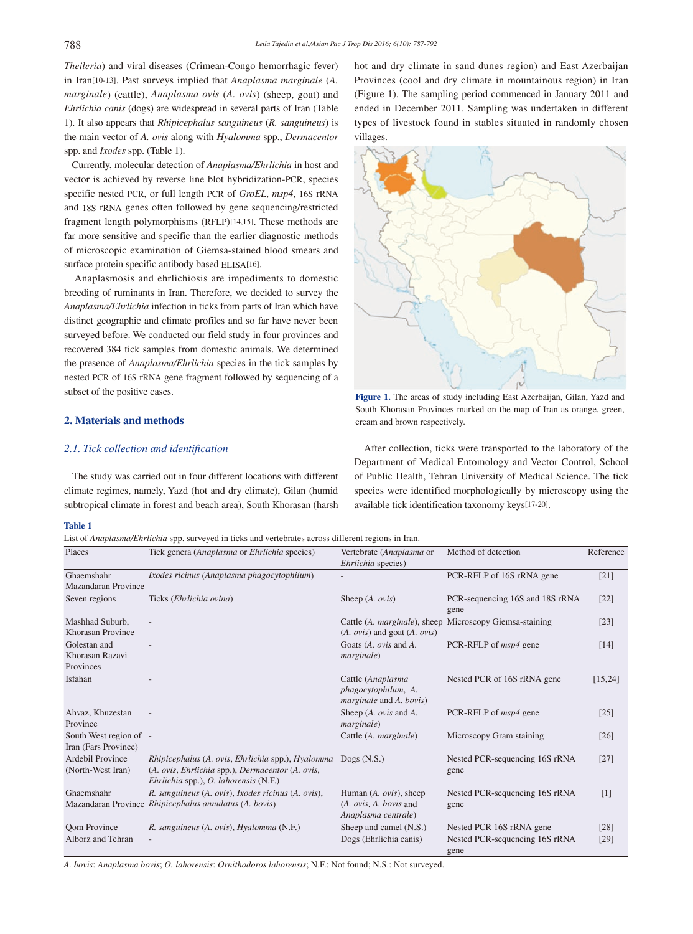*Theileria*) and viral diseases (Crimean-Congo hemorrhagic fever) in Iran[10-13]. Past surveys implied that *Anaplasma marginale* (*A. marginale*) (cattle), *Anaplasma ovis* (*A. ovis*) (sheep, goat) and *Ehrlichia canis* (dogs) are widespread in several parts of Iran (Table 1). It also appears that *Rhipicephalus sanguineus* (*R. sanguineus*) is the main vector of *A. ovis* along with *Hyalomma* spp., *Dermacentor*  spp. and *Ixodes* spp. (Table 1).

 Currently, molecular detection of *Anaplasma/Ehrlichia* in host and vector is achieved by reverse line blot hybridization-PCR, species specific nested PCR, or full length PCR of *GroEL*, *msp4*, 16S rRNA and 18S rRNA genes often followed by gene sequencing/restricted fragment length polymorphisms (RFLP)[14,15]. These methods are far more sensitive and specific than the earlier diagnostic methods of microscopic examination of Giemsa-stained blood smears and surface protein specific antibody based ELISA[16].

 Anaplasmosis and ehrlichiosis are impediments to domestic breeding of ruminants in Iran. Therefore, we decided to survey the *Anaplasma/Ehrlichia* infection in ticks from parts of Iran which have distinct geographic and climate profiles and so far have never been surveyed before. We conducted our field study in four provinces and recovered 384 tick samples from domestic animals. We determined the presence of *Anaplasma/Ehrlichia* species in the tick samples by nested PCR of 16S rRNA gene fragment followed by sequencing of a subset of the positive cases.

# **2. Materials and methods**

## *2.1. Tick collection and identification*

 The study was carried out in four different locations with different climate regimes, namely, Yazd (hot and dry climate), Gilan (humid subtropical climate in forest and beach area), South Khorasan (harsh

## **Table 1**

List of *Anaplasma/Ehrlichia* spp. surveyed in ticks and vertebrates across different regions in Iran. Places Tick genera (*Anaplasma* or *Ehrlichia* species) Vertebrate (*Anaplasma* or

hot and dry climate in sand dunes region) and East Azerbaijan Provinces (cool and dry climate in mountainous region) in Iran (Figure 1). The sampling period commenced in January 2011 and ended in December 2011. Sampling was undertaken in different types of livestock found in stables situated in randomly chosen villages.



**Figure 1.** The areas of study including East Azerbaijan, Gilan, Yazd and South Khorasan Provinces marked on the map of Iran as orange, green, cream and brown respectively.

 After collection, ticks were transported to the laboratory of the Department of Medical Entomology and Vector Control, School of Public Health, Tehran University of Medical Science. The tick species were identified morphologically by microscopy using the available tick identification taxonomy keys[17-20].

Method of detection Reference

|                                                |                                                                                                                                                | Ehrlichia species)                                                                                   |                                                                    |                |
|------------------------------------------------|------------------------------------------------------------------------------------------------------------------------------------------------|------------------------------------------------------------------------------------------------------|--------------------------------------------------------------------|----------------|
| Ghaemshahr<br><b>Mazandaran Province</b>       | Ixodes ricinus (Anaplasma phagocytophilum)                                                                                                     |                                                                                                      | PCR-RFLP of 16S rRNA gene                                          | $[21]$         |
| Seven regions                                  | Ticks ( <i>Ehrlichia ovina</i> )                                                                                                               | Sheep $(A. \text{ ovis})$                                                                            | PCR-sequencing 16S and 18S rRNA<br>gene                            | $[22]$         |
| Mashhad Suburb,<br>Khorasan Province           |                                                                                                                                                | $(A. \text{ ovis})$ and goat $(A. \text{ ovis})$                                                     | Cattle (A. marginale), sheep Microscopy Giemsa-staining            | $[23]$         |
| Golestan and<br>Khorasan Razavi<br>Provinces   |                                                                                                                                                | Goats (A. ovis and A.<br><i>marginale</i> )                                                          | PCR-RFLP of <i>msp4</i> gene                                       | [14]           |
| Isfahan                                        |                                                                                                                                                | Cattle (Anaplasma<br>phagocytophilum, A.<br><i>marginale</i> and A. bovis)                           | Nested PCR of 16S rRNA gene                                        | [15, 24]       |
| Ahvaz, Khuzestan<br>Province                   |                                                                                                                                                | Sheep $(A. \text{ ovis}$ and $A.$<br><i>marginale</i> )                                              | PCR-RFLP of <i>msp4</i> gene                                       | $[25]$         |
| South West region of -<br>Iran (Fars Province) |                                                                                                                                                | Cattle (A. <i>marginale</i> )                                                                        | Microscopy Gram staining                                           | $[26]$         |
| Ardebil Province<br>(North-West Iran)          | Rhipicephalus (A. ovis, Ehrlichia spp.), Hyalomma<br>(A. ovis, Ehrlichia spp.), Dermacentor (A. ovis,<br>Ehrlichia spp.), O. lahorensis (N.F.) | Dogs $(N.S.)$                                                                                        | Nested PCR-sequencing 16S rRNA<br>gene                             | $[27]$         |
| Ghaemshahr                                     | R. sanguineus (A. ovis), Ixodes ricinus (A. ovis),<br>Mazandaran Province Rhipicephalus annulatus (A. bovis)                                   | Human $(A. \text{ ovis})$ , sheep<br>$(A. \text{ ovis}, A. \text{ bovis}$ and<br>Anaplasma centrale) | Nested PCR-sequencing 16S rRNA<br>gene                             | $[1]$          |
| <b>Qom Province</b><br>Alborz and Tehran       | R. sanguineus (A. ovis), Hyalomma (N.F.)                                                                                                       | Sheep and camel (N.S.)<br>Dogs (Ehrlichia canis)                                                     | Nested PCR 16S rRNA gene<br>Nested PCR-sequencing 16S rRNA<br>gene | $[28]$<br>[29] |

*A. bovis*: *Anaplasma bovis*; *O. lahorensis*: *Ornithodoros lahorensis*; N.F.: Not found; N.S.: Not surveyed.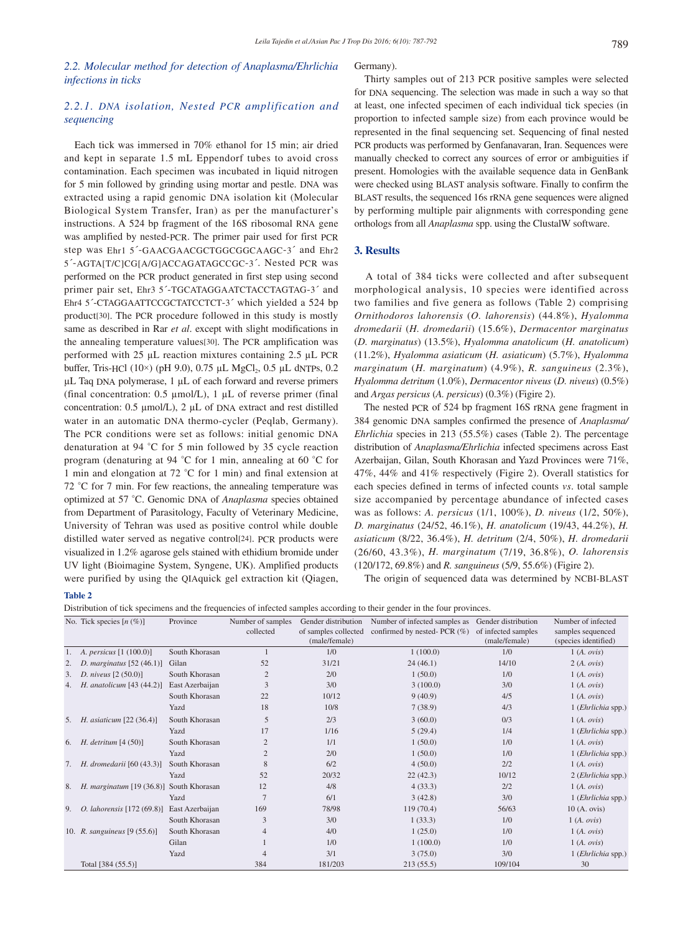# *2.2. Molecular method for detection of Anaplasma/Ehrlichia infections in ticks*

# *2.2.1. DNA isolation, Nested PCR amplification and sequencing*

 Each tick was immersed in 70% ethanol for 15 min; air dried and kept in separate 1.5 mL Eppendorf tubes to avoid cross contamination. Each specimen was incubated in liquid nitrogen for 5 min followed by grinding using mortar and pestle. DNA was extracted using a rapid genomic DNA isolation kit (Molecular Biological System Transfer, Iran) as per the manufacturer's instructions. A 524 bp fragment of the 16S ribosomal RNA gene was amplified by nested-PCR. The primer pair used for first PCR step was Ehr1 5´-GAACGAACGCTGGCGGCAAGC-3´ and Ehr2 5´-AGTA[T/C]CG[A/G]ACCAGATAGCCGC-3´. Nested PCR was performed on the PCR product generated in first step using second primer pair set, Ehr3 5´-TGCATAGGAATCTACCTAGTAG-3´ and Ehr4 5´-CTAGGAATTCCGCTATCCTCT-3´ which yielded a 524 bp product[30]. The PCR procedure followed in this study is mostly same as described in Rar *et al*. except with slight modifications in the annealing temperature values[30]. The PCR amplification was performed with 25 µL reaction mixtures containing 2.5 µL PCR buffer, Tris-HCl  $(10\times)$  (pH 9.0), 0.75 µL MgCl<sub>2</sub>, 0.5 µL dNTPs, 0.2  $\mu$ L Taq DNA polymerase, 1  $\mu$ L of each forward and reverse primers (final concentration: 0.5 µmol/L), 1 µL of reverse primer (final concentration: 0.5 µmol/L), 2 µL of DNA extract and rest distilled water in an automatic DNA thermo-cycler (Peqlab, Germany). The PCR conditions were set as follows: initial genomic DNA denaturation at 94 °C for 5 min followed by 35 cycle reaction program (denaturing at 94 °C for 1 min, annealing at 60 °C for 1 min and elongation at 72 °C for 1 min) and final extension at 72 °C for 7 min. For few reactions, the annealing temperature was optimized at 57 °C. Genomic DNA of *Anaplasma* species obtained from Department of Parasitology, Faculty of Veterinary Medicine, University of Tehran was used as positive control while double distilled water served as negative control[24]. PCR products were visualized in 1.2% agarose gels stained with ethidium bromide under UV light (Bioimagine System, Syngene, UK). Amplified products were purified by using the QIAquick gel extraction kit (Qiagen,

### Germany).

 Thirty samples out of 213 PCR positive samples were selected for DNA sequencing. The selection was made in such a way so that at least, one infected specimen of each individual tick species (in proportion to infected sample size) from each province would be represented in the final sequencing set. Sequencing of final nested PCR products was performed by Genfanavaran, Iran. Sequences were manually checked to correct any sources of error or ambiguities if present. Homologies with the available sequence data in GenBank were checked using BLAST analysis software. Finally to confirm the BLAST results, the sequenced 16s rRNA gene sequences were aligned by performing multiple pair alignments with corresponding gene orthologs from all *Anaplasma* spp. using the ClustalW software.

## **3. Results**

 A total of 384 ticks were collected and after subsequent morphological analysis, 10 species were identified across two families and five genera as follows (Table 2) comprising *Ornithodoros lahorensis* (*O. lahorensis*) (44.8%), *Hyalomma dromedarii* (*H. dromedarii*) (15.6%), *Dermacentor marginatus* (*D. marginatus*) (13.5%), *Hyalomma anatolicum* (*H. anatolicum*) (11.2%), *Hyalomma asiaticum* (*H. asiaticum*) (5.7%), *Hyalomma marginatum* (*H. marginatum*) (4.9%), *R. sanguineus* (2.3%), *Hyalomma detritum* (1.0%), *Dermacentor niveus* (*D. niveus*) (0.5%) and *Argas persicus* (*A. persicus*) (0.3%) (Figire 2).

 The nested PCR of 524 bp fragment 16S rRNA gene fragment in 384 genomic DNA samples confirmed the presence of *Anaplasma/ Ehrlichia* species in 213 (55.5%) cases (Table 2). The percentage distribution of *Anaplasma/Ehrlichia* infected specimens across East Azerbaijan, Gilan, South Khorasan and Yazd Provinces were 71%, 47%, 44% and 41% respectively (Figire 2). Overall statistics for each species defined in terms of infected counts *vs*. total sample size accompanied by percentage abundance of infected cases was as follows: *A. persicus* (1/1, 100%), *D. niveus* (1/2, 50%), *D. marginatus* (24/52, 46.1%), *H. anatolicum* (19/43, 44.2%), *H. asiaticum* (8/22, 36.4%), *H. detritum* (2/4, 50%), *H. dromedarii* (26/60, 43.3%), *H. marginatum* (7/19, 36.8%), *O. lahorensis* (120/172, 69.8%) and *R. sanguineus* (5/9, 55.6%) (Figire 2).

The origin of sequenced data was determined by NCBI-BLAST

### **Table 2**

Distribution of tick specimens and the frequencies of infected samples according to their gender in the four provinces.

|    | Distribution of tick specifiens and the frequencies of infected samples according to their genuer in the four provinces.<br>No. Tick species $[n (\%)]$<br>Province<br>Number of samples<br>Gender distribution<br>Number of infected samples as<br>Gender distribution |                 |                |                      |                                 |                     |                                         |
|----|-------------------------------------------------------------------------------------------------------------------------------------------------------------------------------------------------------------------------------------------------------------------------|-----------------|----------------|----------------------|---------------------------------|---------------------|-----------------------------------------|
|    |                                                                                                                                                                                                                                                                         |                 | collected      | of samples collected | confirmed by nested- PCR $(\%)$ | of infected samples | Number of infected<br>samples sequenced |
|    |                                                                                                                                                                                                                                                                         |                 |                | (male/female)        |                                 | (male/female)       | (species identified)                    |
|    | 1. A. persicus $[1 (100.0)]$                                                                                                                                                                                                                                            | South Khorasan  |                | 1/0                  | 1(100.0)                        | 1/0                 | 1(A. ovis)                              |
| 2. | D. marginatus $[52 (46.1)]$                                                                                                                                                                                                                                             | Gilan           | 52             | 31/21                | 24(46.1)                        | 14/10               | 2(A. ovis)                              |
| 3. | <i>D. niveus</i> $[2 (50.0)]$                                                                                                                                                                                                                                           | South Khorasan  | 2              | 2/0                  | 1(50.0)                         | 1/0                 | 1(A. ovis)                              |
| 4. | H. anatolicum $[43 (44.2)]$                                                                                                                                                                                                                                             | East Azerbaijan | 3              | 3/0                  | 3(100.0)                        | 3/0                 | 1(A. ovis)                              |
|    |                                                                                                                                                                                                                                                                         | South Khorasan  | 22             | 10/12                | 9(40.9)                         | 4/5                 | 1(A. ovis)                              |
|    |                                                                                                                                                                                                                                                                         | Yazd            | 18             | 10/8                 | 7(38.9)                         | 4/3                 | 1 (Ehrlichia spp.)                      |
| 5. | <i>H. asiaticum</i> [22 (36.4)]                                                                                                                                                                                                                                         | South Khorasan  | 5              | 2/3                  | 3(60.0)                         | 0/3                 | 1(A. ovis)                              |
|    |                                                                                                                                                                                                                                                                         | Yazd            | 17             | 1/16                 | 5(29.4)                         | 1/4                 | $1$ ( <i>Ehrlichia</i> spp.)            |
| 6. | H. detritum $[4 (50)]$                                                                                                                                                                                                                                                  | South Khorasan  |                | 1/1                  | 1(50.0)                         | 1/0                 | 1(A. ovis)                              |
|    |                                                                                                                                                                                                                                                                         | Yazd            |                | 2/0                  | 1(50.0)                         | 1/0                 | $1$ ( <i>Ehrlichia</i> spp.)            |
|    | 7. H. dromedarii [60 (43.3)]                                                                                                                                                                                                                                            | South Khorasan  | 8              | 6/2                  | 4(50.0)                         | 2/2                 | 1(A. ovis)                              |
|    |                                                                                                                                                                                                                                                                         | Yazd            | 52             | 20/32                | 22(42.3)                        | 10/12               | 2 (Ehrlichia spp.)                      |
| 8. | H. marginatum [19 (36.8)] South Khorasan                                                                                                                                                                                                                                |                 | 12             | 4/8                  | 4(33.3)                         | 2/2                 | 1(A. ovis)                              |
|    |                                                                                                                                                                                                                                                                         | Yazd            | $\overline{7}$ | 6/1                  | 3(42.8)                         | 3/0                 | 1 (Ehrlichia spp.)                      |
| 9. | O. lahorensis [172 (69.8)]                                                                                                                                                                                                                                              | East Azerbaijan | 169            | 78/98                | 119(70.4)                       | 56/63               | 10(A. ovis)                             |
|    |                                                                                                                                                                                                                                                                         | South Khorasan  | 3              | 3/0                  | 1(33.3)                         | 1/0                 | 1(A. ovis)                              |
|    | 10. <i>R. sanguineus</i> [9 $(55.6)$ ]                                                                                                                                                                                                                                  | South Khorasan  | $\overline{4}$ | 4/0                  | 1(25.0)                         | 1/0                 | 1(A. ovis)                              |
|    |                                                                                                                                                                                                                                                                         | Gilan           |                | 1/0                  | 1(100.0)                        | 1/0                 | 1(A. ovis)                              |
|    |                                                                                                                                                                                                                                                                         | Yazd            |                | 3/1                  | 3(75.0)                         | 3/0                 | 1 (Ehrlichia spp.)                      |
|    | Total [384 (55.5)]                                                                                                                                                                                                                                                      |                 | 384            | 181/203              | 213(55.5)                       | 109/104             | 30                                      |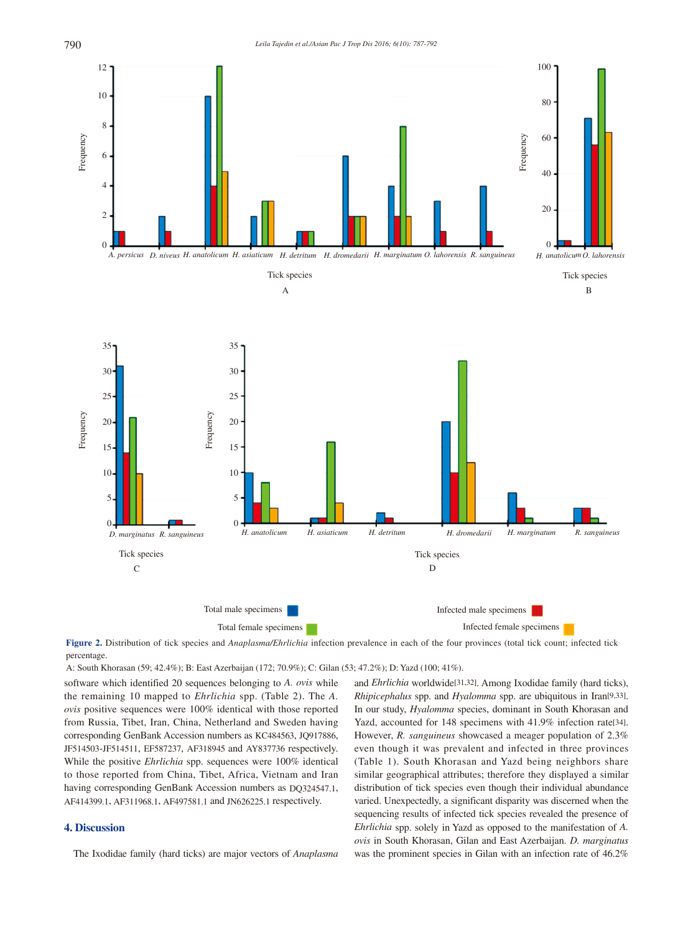

**Figure 2.** Distribution of tick species and *Anaplasma/Ehrlichia* infection prevalence in each of the four provinces (total tick count; infected tick percentage.

A: South Khorasan (59; 42.4%); B: East Azerbaijan (172; 70.9%); C: Gilan (53; 47.2%); D: Yazd (100; 41%).

software which identified 20 sequences belonging to *A. ovis* while the remaining 10 mapped to *Ehrlichia* spp. (Table 2). The *A. ovis* positive sequences were 100% identical with those reported from Russia, Tibet, Iran, China, Netherland and Sweden having corresponding GenBank Accession numbers as KC484563, JQ917886, JF514503-JF514511, EF587237, AF318945 and AY837736 respectively. While the positive *Ehrlichia* spp. sequences were 100% identical to those reported from China, Tibet, Africa, Vietnam and Iran having corresponding GenBank Accession numbers as DQ324547.1, AF414399.1, AF311968.1, AF497581.1 and JN626225.1 respectively.

# **4. Discussion**

The Ixodidae family (hard ticks) are major vectors of *Anaplasma*

and *Ehrlichia* worldwide[31,32]. Among Ixodidae family (hard ticks), *Rhipicephalus* spp. and *Hyalomma* spp. are ubiquitous in Iran[9,33]. In our study, *Hyalomma* species, dominant in South Khorasan and Yazd, accounted for 148 specimens with 41.9% infection rate[34]. However, *R. sanguineus* showcased a meager population of 2.3% even though it was prevalent and infected in three provinces (Table 1). South Khorasan and Yazd being neighbors share similar geographical attributes; therefore they displayed a similar distribution of tick species even though their individual abundance varied. Unexpectedly, a significant disparity was discerned when the sequencing results of infected tick species revealed the presence of *Ehrlichia* spp. solely in Yazd as opposed to the manifestation of *A. ovis* in South Khorasan, Gilan and East Azerbaijan. *D. marginatus* was the prominent species in Gilan with an infection rate of 46.2%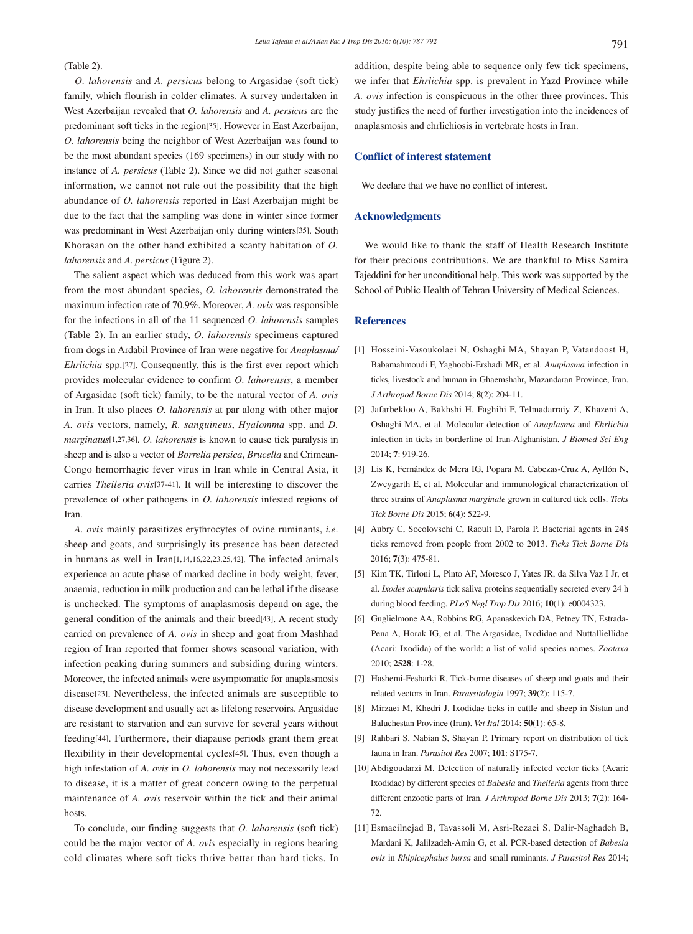## (Table 2).

 *O. lahorensis* and *A. persicus* belong to Argasidae (soft tick) family, which flourish in colder climates. A survey undertaken in West Azerbaijan revealed that *O. lahorensis* and *A. persicus* are the predominant soft ticks in the region[35]. However in East Azerbaijan, *O. lahorensis* being the neighbor of West Azerbaijan was found to be the most abundant species (169 specimens) in our study with no instance of *A. persicus* (Table 2). Since we did not gather seasonal information, we cannot not rule out the possibility that the high abundance of *O. lahorensis* reported in East Azerbaijan might be due to the fact that the sampling was done in winter since former was predominant in West Azerbaijan only during winters[35]. South Khorasan on the other hand exhibited a scanty habitation of *O. lahorensis* and *A. persicus* (Figure 2).

 The salient aspect which was deduced from this work was apart from the most abundant species, *O. lahorensis* demonstrated the maximum infection rate of 70.9%. Moreover, *A. ovis* was responsible for the infections in all of the 11 sequenced *O. lahorensis* samples (Table 2). In an earlier study, *O. lahorensis* specimens captured from dogs in Ardabil Province of Iran were negative for *Anaplasma/ Ehrlichia* spp.[27]. Consequently, this is the first ever report which provides molecular evidence to confirm *O. lahorensis*, a member of Argasidae (soft tick) family, to be the natural vector of *A. ovis* in Iran. It also places *O. lahorensis* at par along with other major *A. ovis* vectors, namely, *R. sanguineus*, *Hyalomma* spp. and *D. marginatus*[1,27,36]. *O. lahorensis* is known to cause tick paralysis in sheep and is also a vector of *Borrelia persica*, *Brucella* and Crimean-Congo hemorrhagic fever virus in Iran while in Central Asia, it carries *Theileria ovis*[37-41]. It will be interesting to discover the prevalence of other pathogens in *O. lahorensis* infested regions of Iran.

 *A. ovis* mainly parasitizes erythrocytes of ovine ruminants, *i.e*. sheep and goats, and surprisingly its presence has been detected in humans as well in Iran[1,14,16,22,23,25,42]. The infected animals experience an acute phase of marked decline in body weight, fever, anaemia, reduction in milk production and can be lethal if the disease is unchecked. The symptoms of anaplasmosis depend on age, the general condition of the animals and their breed[43]. A recent study carried on prevalence of *A. ovis* in sheep and goat from Mashhad region of Iran reported that former shows seasonal variation, with infection peaking during summers and subsiding during winters. Moreover, the infected animals were asymptomatic for anaplasmosis disease[23]. Nevertheless, the infected animals are susceptible to disease development and usually act as lifelong reservoirs. Argasidae are resistant to starvation and can survive for several years without feeding[44]. Furthermore, their diapause periods grant them great flexibility in their developmental cycles[45]. Thus, even though a high infestation of *A. ovis* in *O. lahorensis* may not necessarily lead to disease, it is a matter of great concern owing to the perpetual maintenance of *A. ovis* reservoir within the tick and their animal hosts.

 To conclude, our finding suggests that *O. lahorensis* (soft tick) could be the major vector of *A. ovis* especially in regions bearing cold climates where soft ticks thrive better than hard ticks. In addition, despite being able to sequence only few tick specimens, we infer that *Ehrlichia* spp. is prevalent in Yazd Province while *A. ovis* infection is conspicuous in the other three provinces. This study justifies the need of further investigation into the incidences of anaplasmosis and ehrlichiosis in vertebrate hosts in Iran.

# **Conflict of interest statement**

We declare that we have no conflict of interest.

## **Acknowledgments**

 We would like to thank the staff of Health Research Institute for their precious contributions. We are thankful to Miss Samira Tajeddini for her unconditional help. This work was supported by the School of Public Health of Tehran University of Medical Sciences.

## **References**

- [1] Hosseini-Vasoukolaei N, Oshaghi MA, Shayan P, Vatandoost H, Babamahmoudi F, Yaghoobi-Ershadi MR, et al. *Anaplasma* infection in ticks, livestock and human in Ghaemshahr, Mazandaran Province, Iran. *J Arthropod Borne Dis* 2014; **8**(2): 204-11.
- [2] Jafarbekloo A, Bakhshi H, Faghihi F, Telmadarraiy Z, Khazeni A, Oshaghi MA, et al. Molecular detection of *Anaplasma* and *Ehrlichia* infection in ticks in borderline of Iran-Afghanistan. *J Biomed Sci Eng* 2014; **7**: 919-26.
- [3] Lis K, Fernández de Mera IG, Popara M, Cabezas-Cruz A, Ayllón N, Zweygarth E, et al. Molecular and immunological characterization of three strains of *Anaplasma marginale* grown in cultured tick cells. *Ticks Tick Borne Dis* 2015; **6**(4): 522-9.
- [4] Aubry C, Socolovschi C, Raoult D, Parola P. Bacterial agents in 248 ticks removed from people from 2002 to 2013. *Ticks Tick Borne Dis*  2016; **7**(3): 475-81.
- [5] Kim TK, Tirloni L, Pinto AF, Moresco J, Yates JR, da Silva Vaz I Jr, et al. *Ixodes scapularis* tick saliva proteins sequentially secreted every 24 h during blood feeding. *PLoS Negl Trop Dis* 2016; **10**(1): e0004323.
- [6] Guglielmone AA, Robbins RG, Apanaskevich DA, Petney TN, Estrada-Pena A, Horak IG, et al. The Argasidae, Ixodidae and Nuttalliellidae (Acari: Ixodida) of the world: a list of valid species names. *Zootaxa*  2010; **2528**: 1-28.
- [7] Hashemi-Fesharki R. Tick-borne diseases of sheep and goats and their related vectors in Iran. *Parassitologia* 1997; **39**(2): 115-7.
- [8] Mirzaei M, Khedri J. Ixodidae ticks in cattle and sheep in Sistan and Baluchestan Province (Iran). *Vet Ital* 2014; **50**(1): 65-8.
- [9] Rahbari S, Nabian S, Shayan P. Primary report on distribution of tick fauna in Iran. *Parasitol Res* 2007; **101**: S175-7.
- [10] Abdigoudarzi M. Detection of naturally infected vector ticks (Acari: Ixodidae) by different species of *Babesia* and *Theileria* agents from three different enzootic parts of Iran. *J Arthropod Borne Dis* 2013; **7**(2): 164- 72.
- [11] Esmaeilnejad B, Tavassoli M, Asri-Rezaei S, Dalir-Naghadeh B, Mardani K, Jalilzadeh-Amin G, et al. PCR-based detection of *Babesia ovis* in *Rhipicephalus bursa* and small ruminants. *J Parasitol Res* 2014;